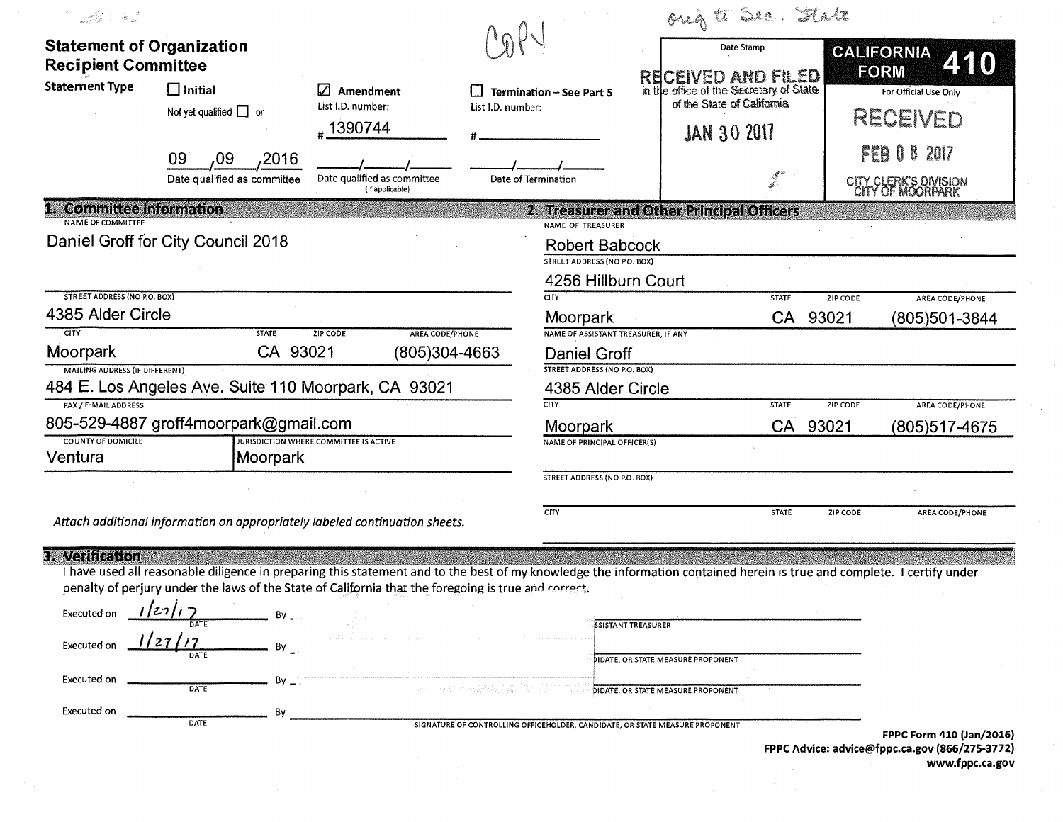| $\mathbb{R}^N \times \mathbb{R}^2$                             |                                                                             |                                                                 |                   |                                                                                                   |  | ong to Sec. State                                                                                                        |              |                                  |                                                          |
|----------------------------------------------------------------|-----------------------------------------------------------------------------|-----------------------------------------------------------------|-------------------|---------------------------------------------------------------------------------------------------|--|--------------------------------------------------------------------------------------------------------------------------|--------------|----------------------------------|----------------------------------------------------------|
| <b>Statement of Organization</b><br><b>Recipient Committee</b> |                                                                             |                                                                 |                   | Date Stamp                                                                                        |  |                                                                                                                          |              | <b>CALIFORNIA</b><br><b>FORM</b> |                                                          |
| <b>Statement Type</b>                                          | $\Box$ Initial<br>Not yet qualified $\Box$ or<br>09<br>,2016<br>,09         | $\sqrt{\phantom{a}}$ Amendment<br>List I.D. number:<br>#1390744 | List I.D. number: | <b>Termination - See Part 5</b>                                                                   |  | <b>RECEIVED AND FILED</b><br>in the office of the Secretary of State<br>of the State of California<br><b>JAN 30 2017</b> |              |                                  | For Official Use Only<br>RECEIVED<br><b>FEB 0 8 2017</b> |
|                                                                | Date qualified as committee                                                 | Date qualified as committee<br>(If applicable)                  |                   | Date of Termination                                                                               |  |                                                                                                                          |              |                                  | <b>CITY CLERK'S DIVISION</b><br><b>CITY OF MOORPARK</b>  |
| 1. Committee Information<br>NAME OF COMMITTEE                  | Daniel Groff for City Council 2018                                          |                                                                 |                   | NAME OF TREASURER<br><b>Robert Babcock</b><br>STREET ADDRESS (NO P.O. BOX)<br>4256 Hillburn Court |  | 2. Treasurer and Other Principal Officers                                                                                |              |                                  |                                                          |
| <b>STREET ADDRESS (NO P.O. BOX)</b>                            |                                                                             |                                                                 |                   | <b>CITY</b>                                                                                       |  |                                                                                                                          | <b>STATE</b> | ZIP CODE                         | <b>AREA CODE/PHONE</b>                                   |
| 4385 Alder Circle                                              |                                                                             |                                                                 |                   | Moorpark                                                                                          |  |                                                                                                                          | CA           | 93021                            | (805)501-3844                                            |
| <b>CITY</b>                                                    | <b>STATE</b>                                                                | <b>ZIP CODE</b><br><b>AREA CODE/PHONE</b>                       |                   | NAME OF ASSISTANT TREASURER, IF ANY                                                               |  |                                                                                                                          |              |                                  |                                                          |
| Moorpark                                                       | CA 93021                                                                    | (805)304-4663                                                   |                   | <b>Daniel Groff</b>                                                                               |  |                                                                                                                          |              |                                  |                                                          |
| <b>MAILING ADDRESS (IF DIFFERENT)</b>                          |                                                                             |                                                                 |                   | <b>STREET ADDRESS (NO P.O. BOX)</b>                                                               |  |                                                                                                                          |              |                                  |                                                          |
|                                                                | 484 E. Los Angeles Ave. Suite 110 Moorpark, CA 93021                        |                                                                 |                   | 4385 Alder Circle                                                                                 |  |                                                                                                                          |              |                                  |                                                          |
| <b>FAX / E-MAIL ADDRESS</b>                                    |                                                                             |                                                                 |                   | <b>CITY</b>                                                                                       |  |                                                                                                                          | <b>STATE</b> | ZIP CODE                         | <b>AREA CODE/PHONE</b>                                   |
| 805-529-4887 groff4moorpark@gmail.com                          |                                                                             |                                                                 |                   | Moorpark                                                                                          |  |                                                                                                                          | CA           | 93021                            | (805)517-4675                                            |
| <b>COUNTY OF DOMICILE</b><br>Ventura                           | Moorpark                                                                    | JURISDICTION WHERE COMMITTEE IS ACTIVE                          |                   | NAME OF PRINCIPAL OFFICER(S)                                                                      |  |                                                                                                                          |              |                                  |                                                          |
|                                                                |                                                                             |                                                                 |                   | <b>STREET ADDRESS (NO P.O. BOX)</b>                                                               |  |                                                                                                                          |              |                                  |                                                          |
|                                                                | Attach additional information on appropriately labeled continuation sheets. |                                                                 |                   | <b>CITY</b>                                                                                       |  |                                                                                                                          | <b>STATE</b> | ZIP CODE                         | <b>AREA CODE/PHONE</b>                                   |

## 3. Verliterion and the

I have used all reasonable diligence in preparing this statement and to the best of my knowledge the information contained herein is true and complete. I certify under penalty of perjury under the laws of the State of California that the foregoing is true and correct.

| Executed on | DATE        |                   | <b>SSISTANT TREASURER</b>                                                    |                          |
|-------------|-------------|-------------------|------------------------------------------------------------------------------|--------------------------|
| Executed on | <b>DATE</b> | <b>CONTRACTOR</b> | DIDATE, OR STATE MEASURE PROPONENT                                           |                          |
| Executed on | DATE        |                   | DIDATE, OR STATE MEASURE PROPONENT                                           |                          |
| Executed on | <b>DATE</b> |                   | SIGNATURE OF CONTROLLING OFFICEHOLDER, CANDIDATE, OR STATE MEASURE PROPONENT |                          |
|             |             |                   |                                                                              | FPPC Form 410 (Jan/2016) |

FPPC Advice: advice@fppc.ca.gov (866/275-3772) www.fppc.ca.gov